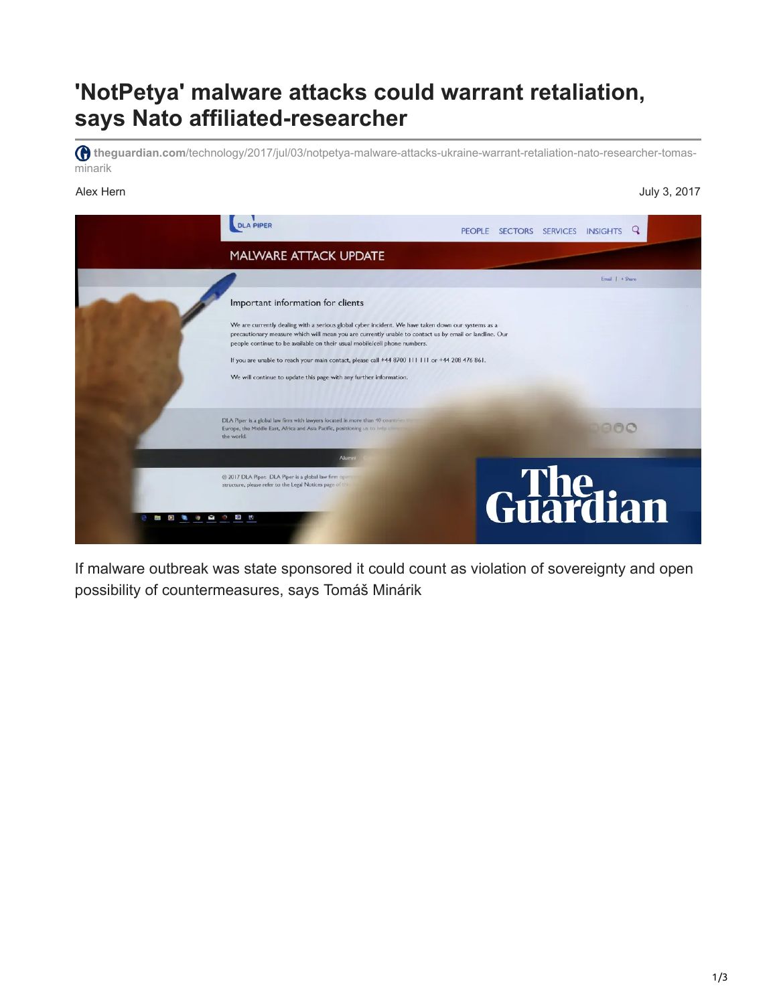## **'NotPetya' malware attacks could warrant retaliation, says Nato affiliated-researcher**

**theguardian.com**[/technology/2017/jul/03/notpetya-malware-attacks-ukraine-warrant-retaliation-nato-researcher-tomas](https://www.theguardian.com/technology/2017/jul/03/notpetya-malware-attacks-ukraine-warrant-retaliation-nato-researcher-tomas-minarik)minarik

## Alex Hern July 3, 2017



If malware outbreak was state sponsored it could count as violation of sovereignty and open possibility of countermeasures, says Tomáš Minárik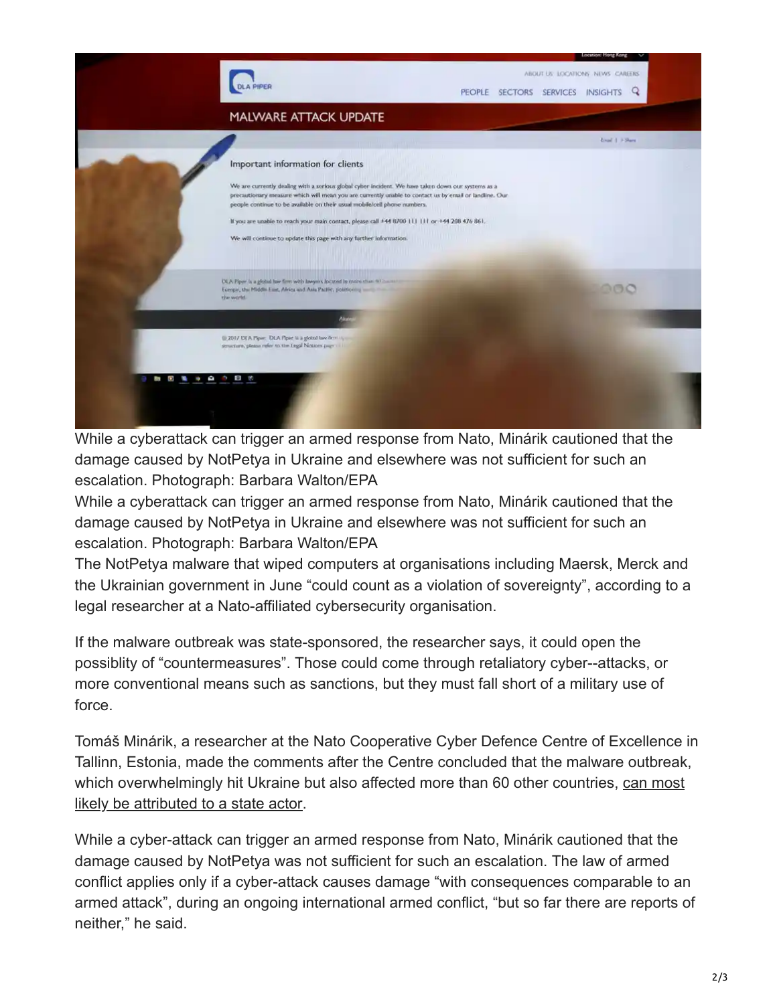

While a cyberattack can trigger an armed response from Nato, Minárik cautioned that the damage caused by NotPetya in Ukraine and elsewhere was not sufficient for such an escalation. Photograph: Barbara Walton/EPA

While a cyberattack can trigger an armed response from Nato, Minárik cautioned that the damage caused by NotPetya in Ukraine and elsewhere was not sufficient for such an escalation. Photograph: Barbara Walton/EPA

The NotPetya malware that wiped computers at organisations including Maersk, Merck and the Ukrainian government in June "could count as a violation of sovereignty", according to a legal researcher at a Nato-affiliated cybersecurity organisation.

If the malware outbreak was state-sponsored, the researcher says, it could open the possiblity of "countermeasures". Those could come through retaliatory cyber--attacks, or more conventional means such as sanctions, but they must fall short of a military use of force.

Tomáš Minárik, a researcher at the Nato Cooperative Cyber Defence Centre of Excellence in Tallinn, Estonia, made the comments after the Centre concluded that the malware outbreak, [which overwhelmingly hit Ukraine but also affected more than 60 other countries, can most](https://ccdcoe.org/notpetya-and-wannacry-call-joint-response-international-community.html) likely be attributed to a state actor.

While a cyber-attack can trigger an armed response from Nato, Minárik cautioned that the damage caused by NotPetya was not sufficient for such an escalation. The law of armed conflict applies only if a cyber-attack causes damage "with consequences comparable to an armed attack", during an ongoing international armed conflict, "but so far there are reports of neither," he said.